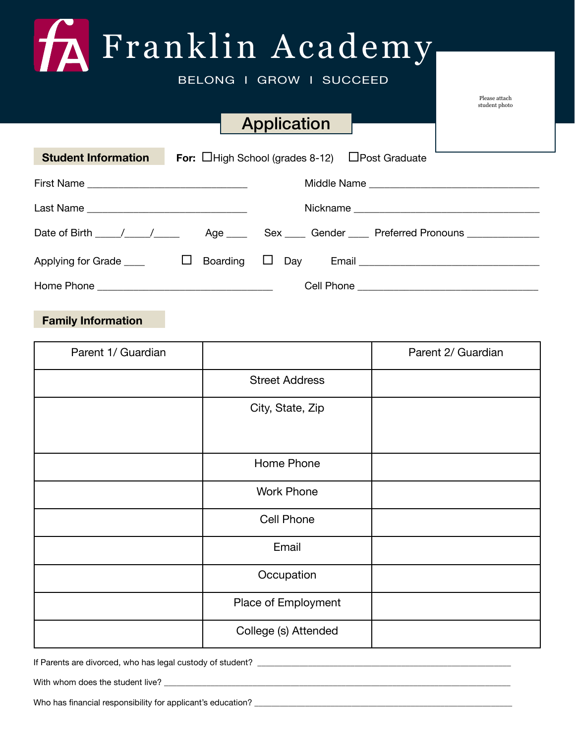# Franklin Academy

BELONG I GROW I SUCCEED

# Application

Please attach student photo

| <b>Student Information</b>                   |  | For: $\Box$ High School (grades 8-12) $\Box$ Post Graduate                                                   |  |  |
|----------------------------------------------|--|--------------------------------------------------------------------------------------------------------------|--|--|
|                                              |  |                                                                                                              |  |  |
| Last Name __________________________________ |  |                                                                                                              |  |  |
|                                              |  |                                                                                                              |  |  |
|                                              |  |                                                                                                              |  |  |
|                                              |  | Applying for Grade $\Box$ Doarding $\Box$ Day Email $\Box$ Denote the Crane of the Boarding $\Box$ Day Email |  |  |
|                                              |  |                                                                                                              |  |  |

#### **Family Information**

| Parent 1/ Guardian |                       | Parent 2/ Guardian |
|--------------------|-----------------------|--------------------|
|                    | <b>Street Address</b> |                    |
|                    | City, State, Zip      |                    |
|                    |                       |                    |
|                    | Home Phone            |                    |
|                    | <b>Work Phone</b>     |                    |
|                    | <b>Cell Phone</b>     |                    |
|                    | Email                 |                    |
|                    | Occupation            |                    |
|                    | Place of Employment   |                    |
|                    | College (s) Attended  |                    |

If Parents are divorced, who has legal custody of student? \_\_\_\_\_\_\_\_\_\_\_\_\_\_\_\_\_\_\_\_\_

With whom does the student live?

Who has financial responsibility for applicant's education?